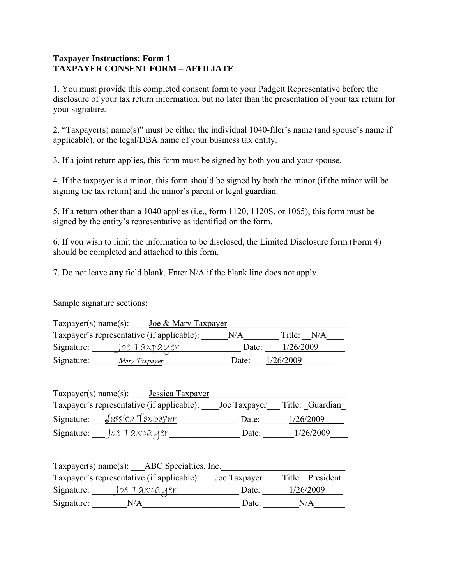## **Taxpayer Instructions: Form 1 TAXPAYER CONSENT FORM – AFFILIATE**

1. You must provide this completed consent form to your Padgett Representative before the disclosure of your tax return information, but no later than the presentation of your tax return for your signature.

2. "Taxpayer(s) name(s)" must be either the individual 1040-filer's name (and spouse's name if applicable), or the legal/DBA name of your business tax entity.

3. If a joint return applies, this form must be signed by both you and your spouse.

4. If the taxpayer is a minor, this form should be signed by both the minor (if the minor will be signing the tax return) and the minor's parent or legal guardian.

5. If a return other than a 1040 applies (i.e., form 1120, 1120S, or 1065), this form must be signed by the entity's representative as identified on the form.

6. If you wish to limit the information to be disclosed, the Limited Disclosure form (Form 4) should be completed and attached to this form.

7. Do not leave **any** field blank. Enter N/A if the blank line does not apply.

Sample signature sections:

| $T$ axpayer(s) name(s): | Joe & Mary Taxpayer                        |       |               |  |
|-------------------------|--------------------------------------------|-------|---------------|--|
|                         | Taxpayer's representative (if applicable): | N/A   | Title:<br>N/A |  |
| Signature:              | <u>loe Taxpayer</u>                        | Date: | 1/26/2009     |  |
| Signature:              | Mary Taxpayer                              | Date: | 1/26/2009     |  |

| Taxpayer(s) name(s):<br>Jessica Taxpayer   |              |                 |
|--------------------------------------------|--------------|-----------------|
| Taxpayer's representative (if applicable): | Joe Taxpayer | Title: Guardian |
| <u>Jessica Taxpayer</u><br>Signature:      | Date:        | 1/26/2009       |
| Signature:<br><u>Joe Taxpayer</u>          | Date:        | 1/26/2009       |

| Taxpayer(s) name(s): ABC Specialties, Inc. |                                                                |       |                  |  |
|--------------------------------------------|----------------------------------------------------------------|-------|------------------|--|
|                                            | Taxpayer's representative (if applicable): <u>Joe Taxpayer</u> |       | Title: President |  |
| Signature:                                 | <u>Toe Taxpayer</u>                                            | Date: | 1/26/2009        |  |
| Signature:                                 | N/A                                                            | Date: | N/A              |  |